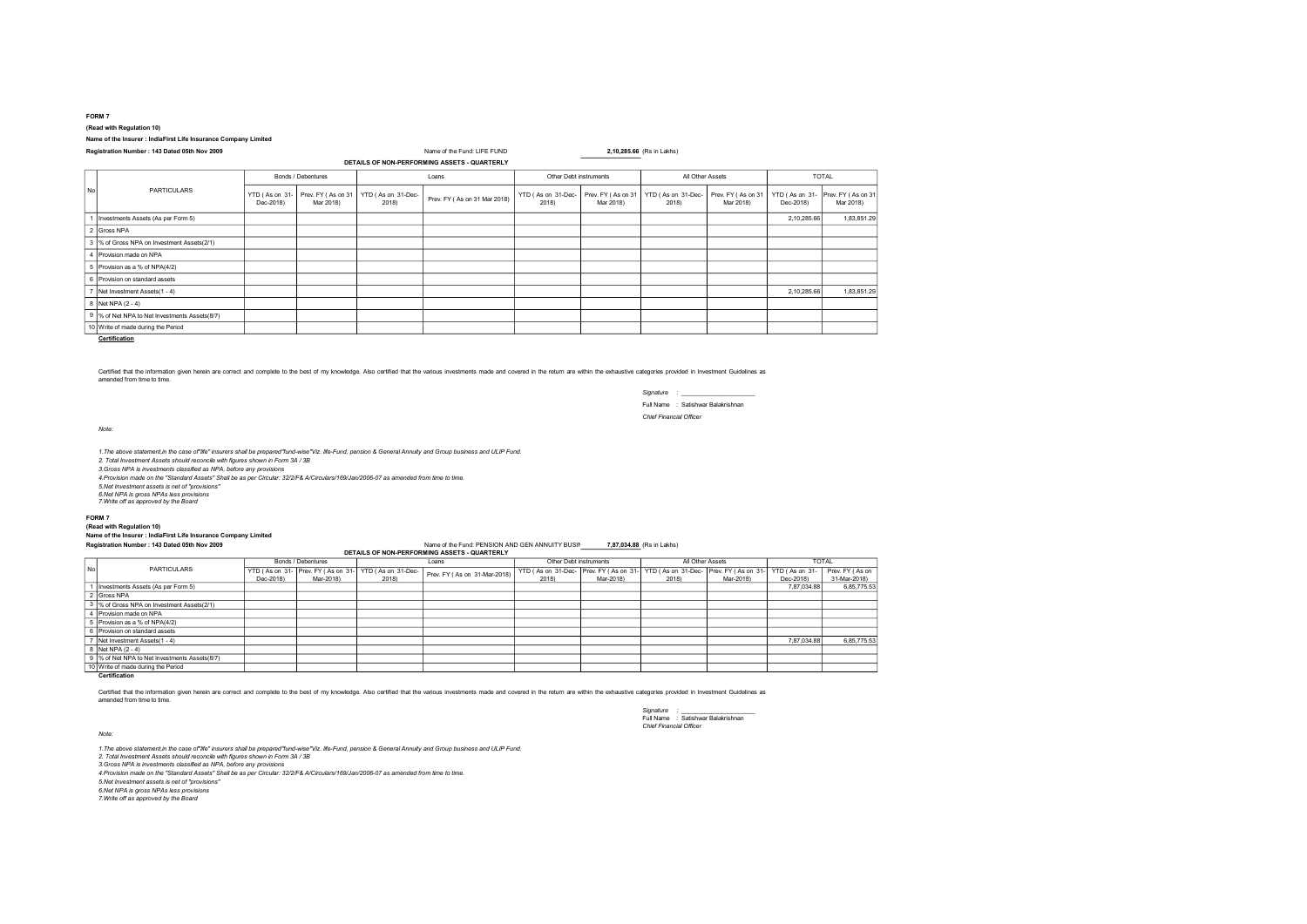#### FORM 7

(Read with Regulation 10)

### Name of the Insurer : IndiaFirst Life Insurance Company Limited

#### Registration Number : 143 Dated 05th Nov 2009 Name of the Fund: LIFE FUND 2,10,285.66 (Rs in Lakhs) DETAILS OF NON-PERFORMING ASSETS - QUARTERLY

| No | PARTICULARS                                   | Bonds / Debentures |           | Loans                                                           |                              | Other Debt instruments      |                                 | All Other Assets            |                                 | <b>TOTAL</b> |                                                 |
|----|-----------------------------------------------|--------------------|-----------|-----------------------------------------------------------------|------------------------------|-----------------------------|---------------------------------|-----------------------------|---------------------------------|--------------|-------------------------------------------------|
|    |                                               | Dec-2018)          | Mar 2018) | YTD (As on 31- Prev. FY (As on 31   YTD (As on 31-Dec-<br>2018) | Prev. FY (As on 31 Mar 2018) | YTD (As on 31-Dec-<br>2018) | Prev. FY (As on 31<br>Mar 2018) | YTD (As on 31-Dec-<br>2018) | Prev. FY (As on 31<br>Mar 2018) | Dec-2018)    | YTD (As on 31- Prev. FY (As on 31)<br>Mar 2018) |
|    | Investments Assets (As per Form 5)            |                    |           |                                                                 |                              |                             |                                 |                             |                                 | 2,10,285.66  | 1,83,851.29                                     |
|    | 2 Gross NPA                                   |                    |           |                                                                 |                              |                             |                                 |                             |                                 |              |                                                 |
|    | 3 % of Gross NPA on Investment Assets(2/1)    |                    |           |                                                                 |                              |                             |                                 |                             |                                 |              |                                                 |
|    | 4 Provision made on NPA                       |                    |           |                                                                 |                              |                             |                                 |                             |                                 |              |                                                 |
| 5  | Provision as a % of NPA(4/2)                  |                    |           |                                                                 |                              |                             |                                 |                             |                                 |              |                                                 |
| 6  | Provision on standard assets                  |                    |           |                                                                 |                              |                             |                                 |                             |                                 |              |                                                 |
| ٠  | Net Investment Assets (1 - 4)                 |                    |           |                                                                 |                              |                             |                                 |                             |                                 | 2,10,285.66  | 1,83,851.29                                     |
|    | 8 Net NPA (2 - 4)                             |                    |           |                                                                 |                              |                             |                                 |                             |                                 |              |                                                 |
|    | 9 % of Net NPA to Net Investments Assets(8/7) |                    |           |                                                                 |                              |                             |                                 |                             |                                 |              |                                                 |
|    | 10 Write of made during the Period            |                    |           |                                                                 |                              |                             |                                 |                             |                                 |              |                                                 |

**Certification** 

Certified that the information given herein are correct and complete to the best of my knowledge. Also certified that the various investments made and covered in the return are within the exhaustive categories provided in amended from time to time.

> Signature : Full Name : Satishwar Balakrishnan

Chief Financial Officer

Note:

1. The above statement in the case of life" insurers shall be prepared "fund-wise" Viz. life-Fund, pension & General Annuity and Group business and ULIP Fund.

2. Total Investment Assets should reconcile with figures shown in Form 3A / 3B

3.Gross NPA is investments classified as NPA, before any provisions 4.Provision made on the "Standard Assets" Shall be as per Circular: 32/2/F& A/Circulars/169/Jan/2006-07 as amended from time to time.

5.Net Investment assets is net of ''provisions''

6.Net NPA is gross NPAs less provisions 7.Write off as approved by the Board

### FORM 7

## (Read with Regulation 10)

# Name of the Insurer : IndiaFirst Life Insurance Company Limited

Registration Number : 143 Dated 05th Nov 2009 Name of the Fund: PENSION AND GEN ANNUITY BUSINESS 7,87,034.88 (Rs in Lakhs) Name of the Fund: PENSION AND GEN ANNUITY BUSINESS 7,87,034.88 (Rs in Lakhs) DETAILS OF NON-PERFOR

|     |                                             | Bonds / Debentures |           | Loans                                                 |                              | Other Debt instruments                 |           | All Other Assets   |                     | <b>TOTAL</b>   |                 |
|-----|---------------------------------------------|--------------------|-----------|-------------------------------------------------------|------------------------------|----------------------------------------|-----------|--------------------|---------------------|----------------|-----------------|
| No. | <b>PARTICULARS</b>                          |                    |           | YTD (As on 31- Prev. FY (As on 31- YTD (As on 31-Dec- | Prev. FY (As on 31-Mar-2018) | YTD (As on 31-Dec- Prev. FY (As on 31- |           | YTD (As on 31-Dec- | Prev. FY (As on 31- | YTD (As on 31- | Prev. FY (As on |
|     |                                             | Dec-2018)          | Mar-2018) | 2018)                                                 |                              | 2018)                                  | Mar-2018) | 2018)              | Mar-2018)           | Dec-2018)      | 31-Mar-2018)    |
|     | Investments Assets (As per Form 5)          |                    |           |                                                       |                              |                                        |           |                    |                     | 7.87.034.88    | 6,85,775.53     |
|     | Gross NPA                                   |                    |           |                                                       |                              |                                        |           |                    |                     |                |                 |
|     | 3 % of Gross NPA on Investment Assets(2/1)  |                    |           |                                                       |                              |                                        |           |                    |                     |                |                 |
|     | Provision made on NPA                       |                    |           |                                                       |                              |                                        |           |                    |                     |                |                 |
|     | Provision as a % of NPA(4/2)                |                    |           |                                                       |                              |                                        |           |                    |                     |                |                 |
|     | Provision on standard assets                |                    |           |                                                       |                              |                                        |           |                    |                     |                |                 |
|     | Net Investment Assets (1 - 4)               |                    |           |                                                       |                              |                                        |           |                    |                     | 7.87.034.88    | 6,85,775.53     |
|     | Net NPA (2 - 4)                             |                    |           |                                                       |                              |                                        |           |                    |                     |                |                 |
|     | % of Net NPA to Net Investments Assets(8/7) |                    |           |                                                       |                              |                                        |           |                    |                     |                |                 |
|     | 10 Write of made during the Period          |                    |           |                                                       |                              |                                        |           |                    |                     |                |                 |
|     | Certification                               |                    |           |                                                       |                              |                                        |           |                    |                     |                |                 |

Certified that the information given herein are correct and complete to the best of my knowledge. Also certified that the various investments made and covered in the return are within the exhaustive categories provided in

Signature : \_\_\_\_\_\_\_\_\_\_\_\_\_\_\_\_\_\_\_\_\_\_ Full Name : Satishwar Balakrishnan Chief Financial Officer

Note:

1.The above statement,in the case of"life" insurers shall be prepared"fund-wise"Viz. life-Fund, pension & General Annuity and Group business and ULIP Fund.

2. Total Investment Assets should reconcile with figures shown in Form 3A / 3B 3.Gross NPA is investments classified as NPA, before any provisions

4.Provision made on the "Standard Assets" Shall be as per Circular: 32/2/F& A/Circulars/169/Jan/2006-07 as amended from time to time.

5.Net Investment assets is net of ''provisions'' 6.Net NPA is gross NPAs less provisions

7.Write off as approved by the Board